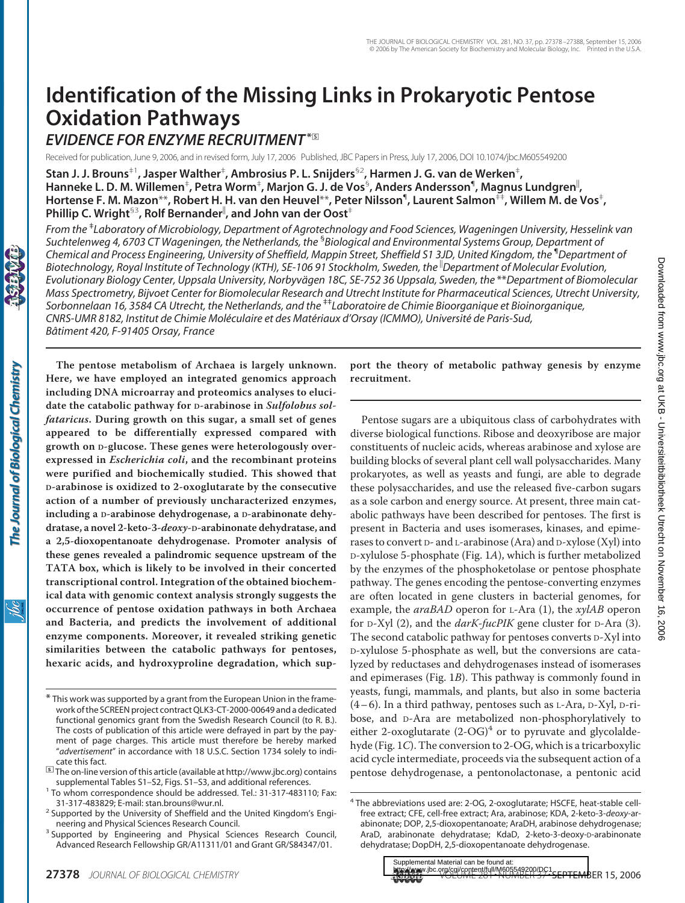# **Identification of the Missing Links in Prokaryotic Pentose Oxidation Pathways**

## *EVIDENCE FOR ENZYME RECRUITMENT***\***□**<sup>S</sup>**

Received for publication, June 9, 2006, and in revised form, July 17, 2006 Published, JBC Papers in Press, July 17, 2006, DOI 10.1074/jbc.M605549200

**Stan J. J. Brouns**‡1**, Jasper Walther**‡ **, Ambrosius P. L. Snijders**§2**, Harmen J. G. van de Werken**‡ **,** Hanneke L. D. M. Willemen<sup>‡</sup>, Petra Worm<sup>‡</sup>, Marjon G. J. de Vos<sup>§</sup>, Anders Andersson<sup>¶</sup>, Magnus Lundgren<sup>∥</sup>, **Hortense F. M. Mazon**\*\***, Robert H. H. van den Heuvel**\*\***, Peter Nilsson**¶ **, Laurent Salmon**‡‡**, Willem M. de Vos**‡ **, Phillip C. Wright**§3**, Rolf Bernander , and John van der Oost**‡

*From the* ‡ *Laboratory of Microbiology, Department of Agrotechnology and Food Sciences, Wageningen University, Hesselink van Suchtelenweg 4, 6703 CT Wageningen, the Netherlands, the* § *Biological and Environmental Systems Group, Department of Chemical and Process Engineering, University of Sheffield, Mappin Street, Sheffield S1 3JD, United Kingdom, the* ¶ *Department of Biotechnology, Royal Institute of Technology (KTH), SE-106 91 Stockholm, Sweden, the Department of Molecular Evolution, Evolutionary Biology Center, Uppsala University, Norbyva¨gen 18C, SE-752 36 Uppsala, Sweden, the* \*\**Department of Biomolecular Mass Spectrometry, Bijvoet Center for Biomolecular Research and Utrecht Institute for Pharmaceutical Sciences, Utrecht University, Sorbonnelaan 16, 3584 CA Utrecht, the Netherlands, and the* ‡‡*Laboratoire de Chimie Bioorganique et Bioinorganique, CNRS-UMR 8182, Institut de Chimie Mole´culaire et des Mate´riaux d'Orsay (ICMMO), Universite´ de Paris-Sud, Baˆtiment 420, F-91405 Orsay, France*

**The pentose metabolism of Archaea is largely unknown. Here, we have employed an integrated genomics approach**

The Journal of Biological Chemistry

ŇС

**including DNA microarray and proteomics analyses to elucidate the catabolic pathway for D-arabinose in** *Sulfolobus solfataricus***. During growth on this sugar, a small set of genes appeared to be differentially expressed compared with growth on D-glucose. These genes were heterologously overexpressed in** *Escherichia coli***, and the recombinant proteins were purified and biochemically studied. This showed that D-arabinose is oxidized to 2-oxoglutarate by the consecutive action of a number of previously uncharacterized enzymes, including a D-arabinose dehydrogenase, a D-arabinonate dehydratase, a novel 2-keto-3-***deoxy***-D-arabinonate dehydratase, and a 2,5-dioxopentanoate dehydrogenase. Promoter analysis of these genes revealed a palindromic sequence upstream of the TATA box, which is likely to be involved in their concerted transcriptional control. Integration of the obtained biochemical data with genomic context analysis strongly suggests the occurrence of pentose oxidation pathways in both Archaea and Bacteria, and predicts the involvement of additional enzyme components. Moreover, it revealed striking genetic similarities between the catabolic pathways for pentoses, hexaric acids, and hydroxyproline degradation, which sup-** **port the theory of metabolic pathway genesis by enzyme recruitment.**

Pentose sugars are a ubiquitous class of carbohydrates with diverse biological functions. Ribose and deoxyribose are major constituents of nucleic acids, whereas arabinose and xylose are building blocks of several plant cell wall polysaccharides. Many prokaryotes, as well as yeasts and fungi, are able to degrade these polysaccharides, and use the released five-carbon sugars as a sole carbon and energy source. At present, three main catabolic pathways have been described for pentoses. The first is present in Bacteria and uses isomerases, kinases, and epimerases to convert  $D-$  and  $L-$ arabinose (Ara) and  $D-$ xylose (Xyl) into D-xylulose 5-phosphate (Fig. 1*A*), which is further metabolized by the enzymes of the phosphoketolase or pentose phosphate pathway. The genes encoding the pentose-converting enzymes are often located in gene clusters in bacterial genomes, for example, the *araBAD* operon for L-Ara (1), the *xylAB* operon for D-Xyl (2), and the *darK-fucPIK* gene cluster for D-Ara (3). The second catabolic pathway for pentoses converts D-Xyl into D-xylulose 5-phosphate as well, but the conversions are catalyzed by reductases and dehydrogenases instead of isomerases and epimerases (Fig. 1*B*). This pathway is commonly found in yeasts, fungi, mammals, and plants, but also in some bacteria (4– 6). In a third pathway, pentoses such as L-Ara, D-Xyl, D-ribose, and D-Ara are metabolized non-phosphorylatively to either 2-oxoglutarate  $(2$ -OG $)^4$  or to pyruvate and glycolaldehyde (Fig. 1*C*). The conversion to 2-OG, which is a tricarboxylic acid cycle intermediate, proceeds via the subsequent action of a pentose dehydrogenase, a pentonolactonase, a pentonic acid

<sup>\*</sup> This work was supported by a grant from the European Union in the framework of the SCREEN project contract QLK3-CT-2000-00649 and a dedicated functional genomics grant from the Swedish Research Council (to R. B.). The costs of publication of this article were defrayed in part by the payment of page charges. This article must therefore be hereby marked "*advertisement*" in accordance with 18 U.S.C. Section 1734 solely to indicate this fact.

<sup>□</sup>**<sup>S</sup>** The on-line version of this article (available at http://www.jbc.org) contains

<sup>&</sup>lt;sup>1</sup> To whom correspondence should be addressed. Tel.: 31-317-483110; Fax:<br>31-317-483829; E-mail: stan.brouns@wur.nl.

<sup>&</sup>lt;sup>2</sup> Supported by the University of Sheffield and the United Kingdom's Engi-

neering and Physical Sciences Research Council.<br><sup>3</sup> Supported by Engineering and Physical Sciences Research Council, Advanced Research Fellowship GR/A11311/01 and Grant GR/S84347/01.

<sup>4</sup> The abbreviations used are: 2-OG, 2-oxoglutarate; HSCFE, heat-stable cellfree extract; CFE, cell-free extract; Ara, arabinose; KDA, 2-keto-3-*deoxy*-arabinonate; DOP, 2,5-dioxopentanoate; AraDH, arabinose dehydrogenase; AraD, arabinonate dehydratase; KdaD, 2-keto-3-deoxy-D-arabinonate dehydratase; DopDH, 2,5-dioxopentanoate dehydrogenase.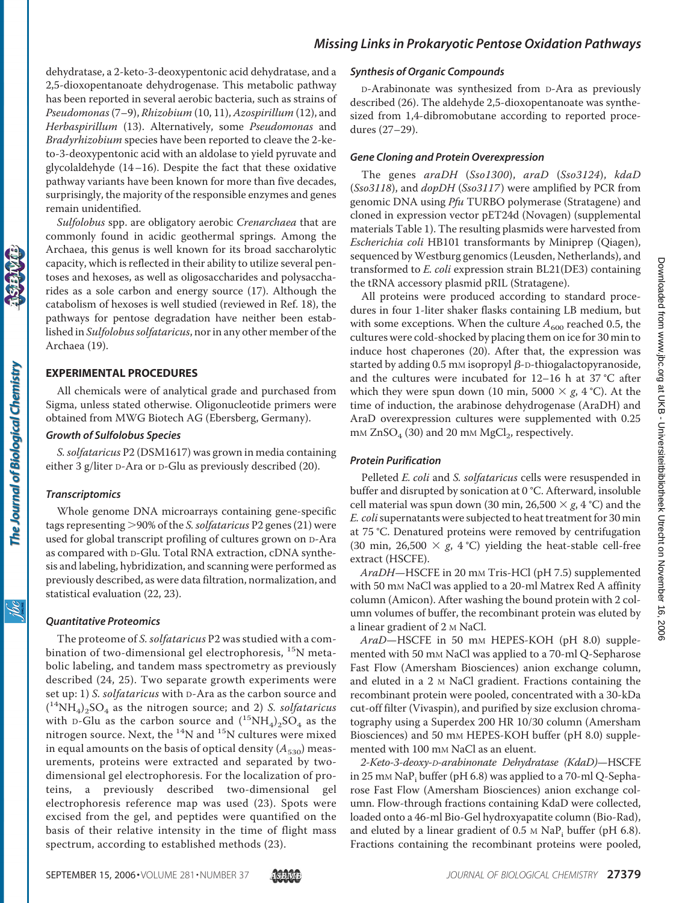dehydratase, a 2-keto-3-deoxypentonic acid dehydratase, and a 2,5-dioxopentanoate dehydrogenase. This metabolic pathway has been reported in several aerobic bacteria, such as strains of *Pseudomonas* (7–9), *Rhizobium* (10, 11), *Azospirillum* (12), and *Herbaspirillum* (13). Alternatively, some *Pseudomonas* and *Bradyrhizobium* species have been reported to cleave the 2-keto-3-deoxypentonic acid with an aldolase to yield pyruvate and glycolaldehyde (14–16). Despite the fact that these oxidative pathway variants have been known for more than five decades, surprisingly, the majority of the responsible enzymes and genes remain unidentified.

*Sulfolobus* spp. are obligatory aerobic *Crenarchaea* that are commonly found in acidic geothermal springs. Among the Archaea, this genus is well known for its broad saccharolytic capacity, which is reflected in their ability to utilize several pentoses and hexoses, as well as oligosaccharides and polysaccharides as a sole carbon and energy source (17). Although the catabolism of hexoses is well studied (reviewed in Ref. 18), the pathways for pentose degradation have neither been established in *Sulfolobus solfataricus*, nor in any other member of the Archaea (19).

## **EXPERIMENTAL PROCEDURES**

All chemicals were of analytical grade and purchased from Sigma, unless stated otherwise. Oligonucleotide primers were obtained from MWG Biotech AG (Ebersberg, Germany).

#### *Growth of Sulfolobus Species*

*S. solfataricus* P2 (DSM1617) was grown in media containing either 3 g/liter D-Ara or D-Glu as previously described (20).

#### *Transcriptomics*

Whole genome DNA microarrays containing gene-specific tags representing 90% of the *S. solfataricus* P2 genes (21) were used for global transcript profiling of cultures grown on D-Ara as compared with D-Glu. Total RNA extraction, cDNA synthesis and labeling, hybridization, and scanning were performed as previously described, as were data filtration, normalization, and statistical evaluation (22, 23).

## *Quantitative Proteomics*

The proteome of *S. solfataricus* P2 was studied with a combination of two-dimensional gel electrophoresis, <sup>15</sup>N metabolic labeling, and tandem mass spectrometry as previously described (24, 25). Two separate growth experiments were set up: 1) *S. solfataricus* with D-Ara as the carbon source and ( 14NH4)2SO4 as the nitrogen source; and 2) *S. solfataricus* with D-Glu as the carbon source and  $(^{15}NH_4)_2SO_4$  as the nitrogen source. Next, the  $^{14}N$  and  $^{15}N$  cultures were mixed in equal amounts on the basis of optical density  $(A_{530})$  measurements, proteins were extracted and separated by twodimensional gel electrophoresis. For the localization of proteins, a previously described two-dimensional gel electrophoresis reference map was used (23). Spots were excised from the gel, and peptides were quantified on the basis of their relative intensity in the time of flight mass spectrum, according to established methods (23).

#### *Synthesis of Organic Compounds*

D-Arabinonate was synthesized from D-Ara as previously described (26). The aldehyde 2,5-dioxopentanoate was synthesized from 1,4-dibromobutane according to reported procedures (27–29).

#### *Gene Cloning and Protein Overexpression*

The genes *araDH* (*Sso1300*), *araD* (*Sso3124*), *kdaD* (*Sso3118*), and *dopDH* (*Sso3117*) were amplified by PCR from genomic DNA using *Pfu* TURBO polymerase (Stratagene) and cloned in expression vector pET24d (Novagen) (supplemental materials Table 1). The resulting plasmids were harvested from *Escherichia coli* HB101 transformants by Miniprep (Qiagen), sequenced by Westburg genomics (Leusden, Netherlands), and transformed to *E. coli* expression strain BL21(DE3) containing the tRNA accessory plasmid pRIL (Stratagene).

All proteins were produced according to standard procedures in four 1-liter shaker flasks containing LB medium, but with some exceptions. When the culture  $A_{600}$  reached 0.5, the cultures were cold-shocked by placing them on ice for 30 min to induce host chaperones (20). After that, the expression was started by adding  $0.5$  mm isopropyl  $\beta$ -D-thiogalactopyranoside, and the cultures were incubated for 12–16 h at 37 °C after which they were spun down (10 min, 5000  $\times$  *g*, 4 °C). At the time of induction, the arabinose dehydrogenase (AraDH) and AraD overexpression cultures were supplemented with 0.25  $mm ZnSO<sub>4</sub>$  (30) and 20 mm MgCl<sub>2</sub>, respectively.

## *Protein Purification*

Pelleted *E. coli* and *S. solfataricus* cells were resuspended in buffer and disrupted by sonication at 0 °C. Afterward, insoluble cell material was spun down (30 min, 26,500  $\times$  *g*, 4 °C) and the *E. coli*supernatants were subjected to heat treatment for 30 min at 75 °C. Denatured proteins were removed by centrifugation (30 min, 26,500  $\times$  g, 4 °C) yielding the heat-stable cell-free extract (HSCFE).

*AraDH*—HSCFE in 20 mM Tris-HCl (pH 7.5) supplemented with 50 mM NaCl was applied to a 20-ml Matrex Red A affinity column (Amicon). After washing the bound protein with 2 column volumes of buffer, the recombinant protein was eluted by a linear gradient of 2 M NaCl.

*AraD*—HSCFE in 50 mM HEPES-KOH (pH 8.0) supplemented with 50 mM NaCl was applied to a 70-ml Q-Sepharose Fast Flow (Amersham Biosciences) anion exchange column, and eluted in a 2 M NaCl gradient. Fractions containing the recombinant protein were pooled, concentrated with a 30-kDa cut-off filter (Vivaspin), and purified by size exclusion chromatography using a Superdex 200 HR 10/30 column (Amersham Biosciences) and 50 mm HEPES-KOH buffer (pH 8.0) supplemented with 100 mm NaCl as an eluent.

*2-Keto-3-deoxy-D-arabinonate Dehydratase (KdaD)*—HSCFE in 25 mm NaP<sub>i</sub> buffer (pH 6.8) was applied to a 70-ml Q-Sepharose Fast Flow (Amersham Biosciences) anion exchange column. Flow-through fractions containing KdaD were collected, loaded onto a 46-ml Bio-Gel hydroxyapatite column (Bio-Rad), and eluted by a linear gradient of  $0.5 \text{ M}$  NaP<sub>i</sub> buffer (pH 6.8). Fractions containing the recombinant proteins were pooled,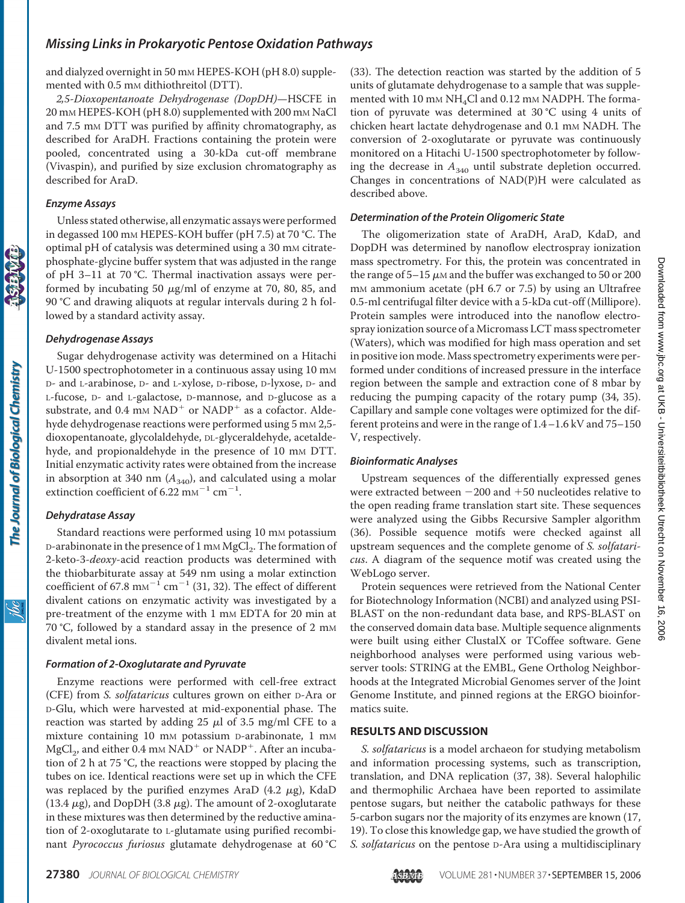and dialyzed overnight in 50 mm HEPES-KOH (pH 8.0) supplemented with 0.5 mm dithiothreitol (DTT).

*2,5-Dioxopentanoate Dehydrogenase (DopDH)*—HSCFE in 20 mM HEPES-KOH (pH 8.0) supplemented with 200 mM NaCl and 7.5 mm DTT was purified by affinity chromatography, as described for AraDH. Fractions containing the protein were pooled, concentrated using a 30-kDa cut-off membrane (Vivaspin), and purified by size exclusion chromatography as described for AraD.

#### *Enzyme Assays*

Unless stated otherwise, all enzymatic assays were performed in degassed 100 mM HEPES-KOH buffer (pH 7.5) at 70 °C. The optimal pH of catalysis was determined using a 30 mM citratephosphate-glycine buffer system that was adjusted in the range of pH 3–11 at 70 °C. Thermal inactivation assays were performed by incubating 50  $\mu$ g/ml of enzyme at 70, 80, 85, and 90 °C and drawing aliquots at regular intervals during 2 h followed by a standard activity assay.

#### *Dehydrogenase Assays*

Sugar dehydrogenase activity was determined on a Hitachi U-1500 spectrophotometer in a continuous assay using 10 mM D- and L-arabinose, D- and L-xylose, D-ribose, D-lyxose, D- and L-fucose, D- and L-galactose, D-mannose, and D-glucose as a substrate, and 0.4 mm  $NAD<sup>+</sup>$  or  $NADP<sup>+</sup>$  as a cofactor. Aldehyde dehydrogenase reactions were performed using 5 mm 2,5dioxopentanoate, glycolaldehyde, DL-glyceraldehyde, acetaldehyde, and propionaldehyde in the presence of 10 mm DTT. Initial enzymatic activity rates were obtained from the increase in absorption at 340 nm  $(A_{340})$ , and calculated using a molar extinction coefficient of 6.22  $\text{mm}^{-1}$  cm<sup>-1</sup>.

#### *Dehydratase Assay*

Standard reactions were performed using 10 mm potassium  $D$ -arabinonate in the presence of 1 mm MgCl<sub>2</sub>. The formation of 2-keto-3-*deoxy*-acid reaction products was determined with the thiobarbiturate assay at 549 nm using a molar extinction coefficient of 67.8 mm<sup>-1</sup> cm<sup>-1</sup> (31, 32). The effect of different divalent cations on enzymatic activity was investigated by a pre-treatment of the enzyme with 1 mm EDTA for 20 min at 70 °C, followed by a standard assay in the presence of 2 mm divalent metal ions.

#### *Formation of 2-Oxoglutarate and Pyruvate*

Enzyme reactions were performed with cell-free extract (CFE) from *S. solfataricus* cultures grown on either D-Ara or D-Glu, which were harvested at mid-exponential phase. The reaction was started by adding 25  $\mu$ l of 3.5 mg/ml CFE to a mixture containing 10 mm potassium D-arabinonate, 1 mm MgCl<sub>2</sub>, and either 0.4 mm NAD<sup>+</sup> or NADP<sup>+</sup>. After an incubation of 2 h at 75 °C, the reactions were stopped by placing the tubes on ice. Identical reactions were set up in which the CFE was replaced by the purified enzymes AraD (4.2  $\mu$ g), KdaD (13.4  $\mu$ g), and DopDH (3.8  $\mu$ g). The amount of 2-oxoglutarate in these mixtures was then determined by the reductive amination of 2-oxoglutarate to L-glutamate using purified recombinant *Pyrococcus furiosus* glutamate dehydrogenase at 60 °C

(33). The detection reaction was started by the addition of 5 units of glutamate dehydrogenase to a sample that was supplemented with 10 mm  $NH<sub>4</sub>Cl$  and 0.12 mm NADPH. The formation of pyruvate was determined at 30 °C using 4 units of chicken heart lactate dehydrogenase and 0.1 mm NADH. The conversion of 2-oxoglutarate or pyruvate was continuously monitored on a Hitachi U-1500 spectrophotometer by following the decrease in  $A_{340}$  until substrate depletion occurred. Changes in concentrations of NAD(P)H were calculated as described above.

#### *Determination of the Protein Oligomeric State*

The oligomerization state of AraDH, AraD, KdaD, and DopDH was determined by nanoflow electrospray ionization mass spectrometry. For this, the protein was concentrated in the range of 5–15  $\mu$ m and the buffer was exchanged to 50 or 200 m<sub>M</sub> ammonium acetate (pH 6.7 or 7.5) by using an Ultrafree 0.5-ml centrifugal filter device with a 5-kDa cut-off (Millipore). Protein samples were introduced into the nanoflow electrospray ionization source of aMicromass LCT mass spectrometer (Waters), which was modified for high mass operation and set in positive ion mode. Mass spectrometry experiments were performed under conditions of increased pressure in the interface region between the sample and extraction cone of 8 mbar by reducing the pumping capacity of the rotary pump (34, 35). Capillary and sample cone voltages were optimized for the different proteins and were in the range of 1.4–1.6 kV and 75–150 V, respectively.

#### *Bioinformatic Analyses*

Upstream sequences of the differentially expressed genes were extracted between  $-200$  and  $+50$  nucleotides relative to the open reading frame translation start site. These sequences were analyzed using the Gibbs Recursive Sampler algorithm (36). Possible sequence motifs were checked against all upstream sequences and the complete genome of *S. solfataricus*. A diagram of the sequence motif was created using the WebLogo server.

Protein sequences were retrieved from the National Center for Biotechnology Information (NCBI) and analyzed using PSI-BLAST on the non-redundant data base, and RPS-BLAST on the conserved domain data base. Multiple sequence alignments were built using either ClustalX or TCoffee software. Gene neighborhood analyses were performed using various webserver tools: STRING at the EMBL, Gene Ortholog Neighborhoods at the Integrated Microbial Genomes server of the Joint Genome Institute, and pinned regions at the ERGO bioinformatics suite.

#### **RESULTS AND DISCUSSION**

*S. solfataricus* is a model archaeon for studying metabolism and information processing systems, such as transcription, translation, and DNA replication (37, 38). Several halophilic and thermophilic Archaea have been reported to assimilate pentose sugars, but neither the catabolic pathways for these 5-carbon sugars nor the majority of its enzymes are known (17, 19). To close this knowledge gap, we have studied the growth of *S. solfataricus* on the pentose D-Ara using a multidisciplinary

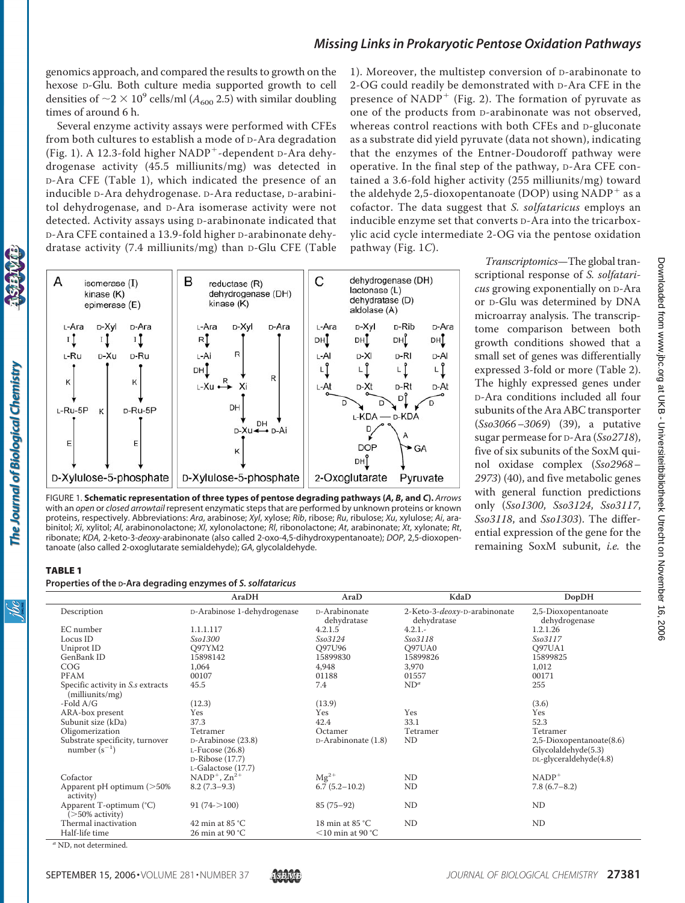genomics approach, and compared the results to growth on the hexose D-Glu. Both culture media supported growth to cell densities of  $\sim$ 2  $\times$  10<sup>9</sup> cells/ml ( $A_{600}$  2.5) with similar doubling times of around 6 h.

Several enzyme activity assays were performed with CFEs from both cultures to establish a mode of D-Ara degradation (Fig. 1). A 12.3-fold higher  $NADP^+$ -dependent D-Ara dehydrogenase activity (45.5 milliunits/mg) was detected in D-Ara CFE (Table 1), which indicated the presence of an inducible D-Ara dehydrogenase. D-Ara reductase, D-arabinitol dehydrogenase, and D-Ara isomerase activity were not detected. Activity assays using D-arabinonate indicated that D-Ara CFE contained a 13.9-fold higher D-arabinonate dehydratase activity (7.4 milliunits/mg) than D-Glu CFE (Table 1). Moreover, the multistep conversion of D-arabinonate to 2-OG could readily be demonstrated with D-Ara CFE in the presence of NADP<sup>+</sup> (Fig. 2). The formation of pyruvate as one of the products from D-arabinonate was not observed, whereas control reactions with both CFEs and D-gluconate as a substrate did yield pyruvate (data not shown), indicating that the enzymes of the Entner-Doudoroff pathway were operative. In the final step of the pathway, D-Ara CFE contained a 3.6-fold higher activity (255 milliunits/mg) toward the aldehyde 2,5-dioxopentanoate (DOP) using  $NADP<sup>+</sup>$  as a cofactor. The data suggest that *S. solfataricus* employs an inducible enzyme set that converts D-Ara into the tricarboxylic acid cycle intermediate 2-OG via the pentose oxidation pathway (Fig. 1*C*).



FIGURE 1. **Schematic representation of three types of pentose degrading pathways (***A***,** *B***, and** *C***).** *Arrows* with an *open* or *closed arrowtail* represent enzymatic steps that are performed by unknown proteins or known proteins, respectively. Abbreviations: *Ara*, arabinose; *Xyl*, xylose; *Rib*, ribose; *Ru*, ribulose; *Xu*, xylulose; *Ai*, arabinitol; *Xi*, xylitol; *Al*, arabinonolactone; *Xl*, xylonolactone; *Rl*, ribonolactone; *At*, arabinonate; *Xt*, xylonate; *Rt*, ribonate; *KDA*, 2-keto-3-*deoxy*-arabinonate (also called 2-oxo-4,5-dihydroxypentanoate); *DOP*, 2,5-dioxopentanoate (also called 2-oxoglutarate semialdehyde); *GA*, glycolaldehyde.

*Transcriptomics*—The global transcriptional response of *S. solfataricus* growing exponentially on D-Ara or D-Glu was determined by DNA microarray analysis. The transcriptome comparison between both growth conditions showed that a small set of genes was differentially expressed 3-fold or more (Table 2). The highly expressed genes under D-Ara conditions included all four subunits of the Ara ABC transporter (*Sso3066 –3069*) (39), a putative sugar permease for D-Ara (*Sso2718*), five of six subunits of the SoxM quinol oxidase complex (*Sso2968 – 2973*) (40), and five metabolic genes with general function predictions only (*Sso1300*, *Sso3124*, *Sso3117*, *Sso3118*, and *Sso1303*). The differential expression of the gene for the remaining SoxM subunit, *i.e.* the

#### TABLE 1

#### **Properties of the D-Ara degrading enzymes of** *S. solfataricus*

|                                                      | AraDH                                                                             | AraD                                               | KdaD                                        | <b>DopDH</b>                                                              |
|------------------------------------------------------|-----------------------------------------------------------------------------------|----------------------------------------------------|---------------------------------------------|---------------------------------------------------------------------------|
| Description                                          | D-Arabinose 1-dehydrogenase                                                       | D-Arabinonate<br>dehydratase                       | 2-Keto-3-deoxy-D-arabinonate<br>dehydratase | 2,5-Dioxopentanoate<br>dehydrogenase                                      |
| EC number                                            | 1.1.1.117                                                                         | 4.2.1.5                                            | $4.2.1 -$                                   | 1.2.1.26                                                                  |
| Locus ID                                             | <i>Sso1300</i>                                                                    | Sso3124                                            | Sso3118                                     | Sso3117                                                                   |
| Uniprot ID                                           | O97YM2                                                                            | Q97U96                                             | Q97UA0                                      | O97UA1                                                                    |
| GenBank ID                                           | 15898142                                                                          | 15899830                                           | 15899826                                    | 15899825                                                                  |
| COG                                                  | 1,064                                                                             | 4,948                                              | 3,970                                       | 1,012                                                                     |
| <b>PFAM</b>                                          | 00107                                                                             | 01188                                              | 01557                                       | 00171                                                                     |
| Specific activity in S.s extracts<br>(milliunits/mg) | 45.5                                                                              | 7.4                                                | $ND^a$                                      | 255                                                                       |
| -Fold $A/G$                                          | (12.3)                                                                            | (13.9)                                             |                                             | (3.6)                                                                     |
| ARA-box present                                      | Yes                                                                               | Yes                                                | Yes                                         | Yes                                                                       |
| Subunit size (kDa)                                   | 37.3                                                                              | 42.4                                               | 33.1                                        | 52.3                                                                      |
| Oligomerization                                      | Tetramer                                                                          | Octamer                                            | Tetramer                                    | Tetramer                                                                  |
| Substrate specificity, turnover<br>number $(s^{-1})$ | D-Arabinose (23.8)<br>$L$ -Fucose (26.8)<br>D-Ribose (17.7)<br>L-Galactose (17.7) | D-Arabinonate (1.8)                                | <b>ND</b>                                   | 2,5-Dioxopentanoate(8.6)<br>Glycolaldehyde(5.3)<br>DL-glyceraldehyde(4.8) |
| Cofactor                                             | $NADP^+$ , $Zn^{2+}$                                                              | $Mg^{2+}$                                          | <b>ND</b>                                   | $NADP+$                                                                   |
| Apparent $pH$ optimum ( $>50\%$ )<br>activity)       | $8.2(7.3-9.3)$                                                                    | $6.7(5.2 - 10.2)$                                  | <b>ND</b>                                   | $7.8(6.7-8.2)$                                                            |
| Apparent T-optimum (°C)<br>$($ >50% activity $)$     | $91(74->100)$                                                                     | $85(75-92)$                                        | <b>ND</b>                                   | ND                                                                        |
| Thermal inactivation<br>Half-life time               | 42 min at $85 °C$<br>26 min at 90 $°C$                                            | 18 min at $85^{\circ}$ C<br>$\leq$ 10 min at 90 °C | <b>ND</b>                                   | ND                                                                        |

*<sup>a</sup>* ND, not determined.



<u>isse</u>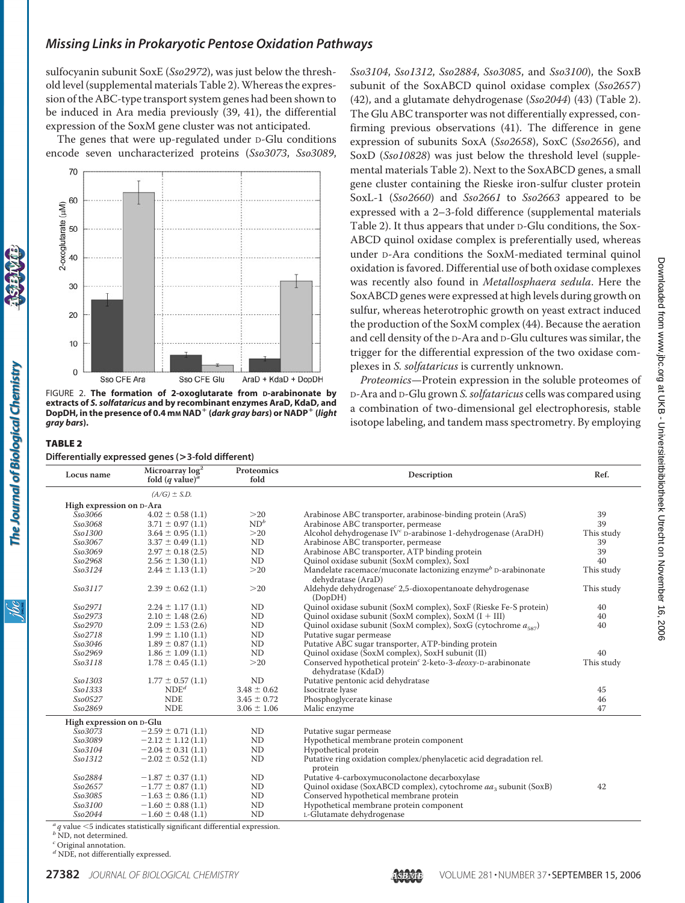sulfocyanin subunit SoxE (*Sso2972*), was just below the threshold level (supplemental materials Table 2). Whereas the expression of the ABC-type transport system genes had been shown to be induced in Ara media previously (39, 41), the differential expression of the SoxM gene cluster was not anticipated.

The genes that were up-regulated under D-Glu conditions encode seven uncharacterized proteins (*Sso3073*, *Sso3089*,



FIGURE 2. **The formation of 2-oxoglutarate from D-arabinonate by extracts of** *S. solfataricus* **and by recombinant enzymes AraD, KdaD, and DopDH, in the presence of 0.4 mM NAD (***dark gray bars***) or NADP (***light gray bars***).**

#### TABLE 2 **Differentially expressed genes (>3-fold different)**

The Journal of Biological Chemistry

*Sso3104*, *Sso1312*, *Sso2884*, *Sso3085*, and *Sso3100*), the SoxB subunit of the SoxABCD quinol oxidase complex (*Sso2657*) (42), and a glutamate dehydrogenase (*Sso2044*) (43) (Table 2). The Glu ABC transporter was not differentially expressed, confirming previous observations (41). The difference in gene expression of subunits SoxA (*Sso2658*), SoxC (*Sso2656*), and SoxD (*Sso10828*) was just below the threshold level (supplemental materials Table 2). Next to the SoxABCD genes, a small gene cluster containing the Rieske iron-sulfur cluster protein SoxL-1 (*Sso2660*) and *Sso2661* to *Sso2663* appeared to be expressed with a 2–3-fold difference (supplemental materials Table 2). It thus appears that under D-Glu conditions, the Sox-ABCD quinol oxidase complex is preferentially used, whereas under D-Ara conditions the SoxM-mediated terminal quinol oxidation is favored. Differential use of both oxidase complexes was recently also found in *Metallosphaera sedula*. Here the SoxABCD genes were expressed at high levels during growth on sulfur, whereas heterotrophic growth on yeast extract induced the production of the SoxM complex (44). Because the aeration and cell density of the D-Ara and D-Glu cultures was similar, the trigger for the differential expression of the two oxidase complexes in *S. solfataricus* is currently unknown.

*Proteomics*—Protein expression in the soluble proteomes of D-Ara and D-Glu grown *S. solfataricus* cells was compared using a combination of two-dimensional gel electrophoresis, stable isotope labeling, and tandem mass spectrometry. By employing

| Locus name               | Microarray $log2$<br>fold $(q$ value) <sup><i>a</i></sup> | Proteomics<br>fold | Description                                                                                     | Ref.       |  |  |
|--------------------------|-----------------------------------------------------------|--------------------|-------------------------------------------------------------------------------------------------|------------|--|--|
|                          | $(A/G) \pm S.D.$                                          |                    |                                                                                                 |            |  |  |
| High expression on D-Ara |                                                           |                    |                                                                                                 |            |  |  |
| Sso3066                  | $4.02 \pm 0.58(1.1)$                                      | >20                | Arabinose ABC transporter, arabinose-binding protein (AraS)                                     | 39         |  |  |
| Sso3068                  | $3.71 \pm 0.97(1.1)$                                      | ND <sup>b</sup>    | Arabinose ABC transporter, permease                                                             | 39         |  |  |
| Sso1300                  | $3.64 \pm 0.95(1.1)$                                      | >20                | Alcohol dehydrogenase IV <sup>c</sup> D-arabinose 1-dehydrogenase (AraDH)                       | This study |  |  |
| Sso3067                  | $3.37 \pm 0.49$ (1.1)                                     | N <sub>D</sub>     | Arabinose ABC transporter, permease                                                             | 39         |  |  |
| Sso3069                  | $2.97 \pm 0.18$ (2.5)                                     | ND                 | Arabinose ABC transporter, ATP binding protein                                                  | 39         |  |  |
| Sso2968                  | $2.56 \pm 1.30(1.1)$                                      | ND                 | Quinol oxidase subunit (SoxM complex), SoxI                                                     | 40         |  |  |
| Sso3124                  | $2.44 \pm 1.13(1.1)$                                      | >20                | Mandelate racemace/muconate lactonizing enzyme <sup>b</sup> D-arabinonate<br>dehydratase (AraD) | This study |  |  |
| Sso3117                  | $2.39 \pm 0.62$ (1.1)                                     | >20                | Aldehyde dehydrogenase <sup>c</sup> 2,5-dioxopentanoate dehydrogenase<br>(DopDH)                | This study |  |  |
| Sso2971                  | $2.24 \pm 1.17(1.1)$                                      | <b>ND</b>          | Quinol oxidase subunit (SoxM complex), SoxF (Rieske Fe-S protein)                               | 40         |  |  |
| Sso2973                  | $2.10 \pm 1.48$ (2.6)                                     | ND                 | Quinol oxidase subunit (SoxM complex), SoxM $(I + III)$                                         | 40         |  |  |
| Sso2970                  | $2.09 \pm 1.53$ (2.6)                                     | ND                 | Quinol oxidase subunit (SoxM complex), SoxG (cytochrome $a_{ss7}$ )                             | 40         |  |  |
| Sso2718                  | $1.99 \pm 1.10$ (1.1)                                     | N <sub>D</sub>     | Putative sugar permease                                                                         |            |  |  |
| Sso3046                  | $1.89 \pm 0.87$ (1.1)                                     | ND                 | Putative ABC sugar transporter, ATP-binding protein                                             |            |  |  |
| Sso2969                  | $1.86 \pm 1.09$ (1.1)                                     | ND                 | Quinol oxidase (SoxM complex), SoxH subunit (II)                                                | 40         |  |  |
| Sso3118                  | $1.78 \pm 0.45$ (1.1)                                     | >20                | Conserved hypothetical protein <sup>c</sup> 2-keto-3-deoxy-D-arabinonate<br>dehydratase (KdaD)  | This study |  |  |
| Sso1303                  | $1.77 \pm 0.57$ (1.1)                                     | ND                 | Putative pentonic acid dehydratase                                                              |            |  |  |
| Sso1333                  | NDE <sup>d</sup>                                          | $3.48 \pm 0.62$    | Isocitrate lyase                                                                                | 45         |  |  |
| Sso0527                  | <b>NDE</b>                                                | $3.45 \pm 0.72$    | Phosphoglycerate kinase                                                                         | 46         |  |  |
| Sso2869                  | <b>NDE</b>                                                | $3.06 \pm 1.06$    | Malic enzyme                                                                                    | 47         |  |  |
| High expression on D-Glu |                                                           |                    |                                                                                                 |            |  |  |
| <i>Sso3073</i>           | $-2.59 \pm 0.71(1.1)$                                     | <b>ND</b>          | Putative sugar permease                                                                         |            |  |  |
| Sso3089                  | $-2.12 \pm 1.12$ (1.1)                                    | ND                 | Hypothetical membrane protein component                                                         |            |  |  |
| Sso3104                  | $-2.04 \pm 0.31(1.1)$                                     | ND                 | Hypothetical protein                                                                            |            |  |  |
| Sso1312                  | $-2.02 \pm 0.52$ (1.1)                                    | <b>ND</b>          | Putative ring oxidation complex/phenylacetic acid degradation rel.<br>protein                   |            |  |  |
| Sso2884                  | $-1.87 \pm 0.37(1.1)$                                     | ND                 | Putative 4-carboxymuconolactone decarboxylase                                                   |            |  |  |
| Sso2657                  | $-1.77 \pm 0.87$ (1.1)                                    | ND                 | Quinol oxidase (SoxABCD complex), cytochrome aa3 subunit (SoxB)                                 | 42         |  |  |
| Sso3085                  | $-1.63 \pm 0.86$ (1.1)                                    | ND                 | Conserved hypothetical membrane protein                                                         |            |  |  |
| Sso3100                  | $-1.60 \pm 0.88$ (1.1)                                    | ND                 | Hypothetical membrane protein component                                                         |            |  |  |
| Sso2044                  | $-1.60 \pm 0.48(1.1)$                                     | ND                 | L-Glutamate dehydrogenase                                                                       |            |  |  |
| $-2$ $-1$ $-1$           |                                                           |                    |                                                                                                 |            |  |  |

 $^a\!q$  value  $<$  5 indicates statistically significant differential expression  $^b$  ND, not determined.

*<sup>c</sup>* Original annotation.

*<sup>d</sup>* NDE, not differentially expressed.

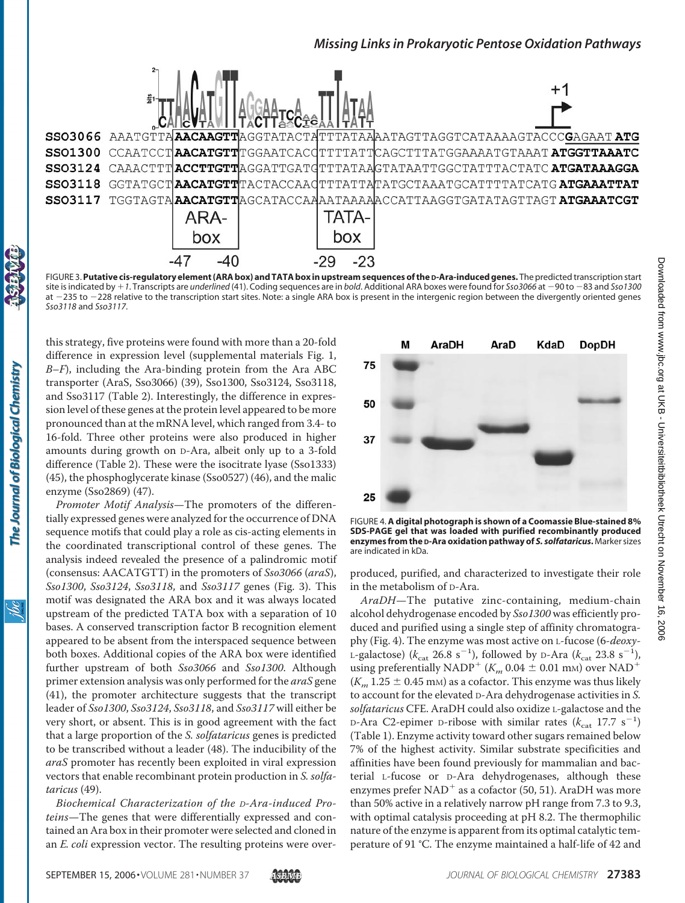

FIGURE 3.**Putative cis-regulatory element (ARA box) and TATA box in upstream sequences of the D-Ara-induced genes.** The predicted transcription start site is indicated by +1. Transcripts are *underlined* (41). Coding sequences are in *bold*. Additional ARA boxes were found for *Sso3066* at -90 to -83 and *Sso1300* at -235 to -228 relative to the transcription start sites. Note: a single ARA box is present in the intergenic region between the divergently oriented genes *Sso3118* and *Sso3117*.

this strategy, five proteins were found with more than a 20-fold difference in expression level (supplemental materials Fig. 1, *B*–*F*), including the Ara-binding protein from the Ara ABC transporter (AraS, Sso3066) (39), Sso1300, Sso3124, Sso3118, and Sso3117 (Table 2). Interestingly, the difference in expression level of these genes at the protein level appeared to be more pronounced than at the mRNA level, which ranged from 3.4- to 16-fold. Three other proteins were also produced in higher amounts during growth on D-Ara, albeit only up to a 3-fold difference (Table 2). These were the isocitrate lyase (Sso1333) (45), the phosphoglycerate kinase (Sso0527) (46), and the malic enzyme (Sso2869) (47).

*Promoter Motif Analysis*—The promoters of the differentially expressed genes were analyzed for the occurrence of DNA sequence motifs that could play a role as cis-acting elements in the coordinated transcriptional control of these genes. The analysis indeed revealed the presence of a palindromic motif (consensus: AACATGTT) in the promoters of *Sso3066* (*araS*), *Sso1300*, *Sso3124*, *Sso3118*, and *Sso3117* genes (Fig. 3). This motif was designated the ARA box and it was always located upstream of the predicted TATA box with a separation of 10 bases. A conserved transcription factor B recognition element appeared to be absent from the interspaced sequence between both boxes. Additional copies of the ARA box were identified further upstream of both *Sso3066* and *Sso1300*. Although primer extension analysis was only performed for the *araS* gene (41), the promoter architecture suggests that the transcript leader of *Sso1300*, *Sso3124*, *Sso3118*, and *Sso3117* will either be very short, or absent. This is in good agreement with the fact that a large proportion of the *S. solfataricus* genes is predicted to be transcribed without a leader (48). The inducibility of the *araS* promoter has recently been exploited in viral expression vectors that enable recombinant protein production in *S. solfataricus* (49).

*Biochemical Characterization of the D-Ara-induced Proteins*—The genes that were differentially expressed and contained an Ara box in their promoter were selected and cloned in an *E. coli* expression vector. The resulting proteins were over-



FIGURE 4. **A digital photograph is shown of a Coomassie Blue-stained 8% SDS-PAGE gel that was loaded with purified recombinantly produced enzymes from the D-Ara oxidation pathway of** *S. solfataricus***.** Marker sizes are indicated in kDa.

produced, purified, and characterized to investigate their role in the metabolism of D-Ara.

*AraDH*—The putative zinc-containing, medium-chain alcohol dehydrogenase encoded by *Sso1300* was efficiently produced and purified using a single step of affinity chromatography (Fig. 4). The enzyme was most active on L-fucose (6-*deoxy*-L-galactose) ( $k_{\text{cat}}$  26.8 s<sup>-1</sup>), followed by D-Ara ( $k_{\text{cat}}$  23.8 s<sup>-1</sup>), using preferentially NADP<sup>+</sup> ( $K_m$  0.04  $\pm$  0.01 mm) over NAD<sup>+</sup>  $(K_m 1.25 \pm 0.45 \text{ mm})$  as a cofactor. This enzyme was thus likely to account for the elevated D-Ara dehydrogenase activities in *S. solfataricus* CFE. AraDH could also oxidize L-galactose and the  $D-Ara$  C2-epimer D-ribose with similar rates  $(k_{cat}$  17.7 s<sup>-1</sup>) (Table 1). Enzyme activity toward other sugars remained below 7% of the highest activity. Similar substrate specificities and affinities have been found previously for mammalian and bacterial L-fucose or D-Ara dehydrogenases, although these enzymes prefer  $NAD^+$  as a cofactor (50, 51). AraDH was more than 50% active in a relatively narrow pH range from 7.3 to 9.3, with optimal catalysis proceeding at pH 8.2. The thermophilic nature of the enzyme is apparent from its optimal catalytic temperature of 91 °C. The enzyme maintained a half-life of 42 and

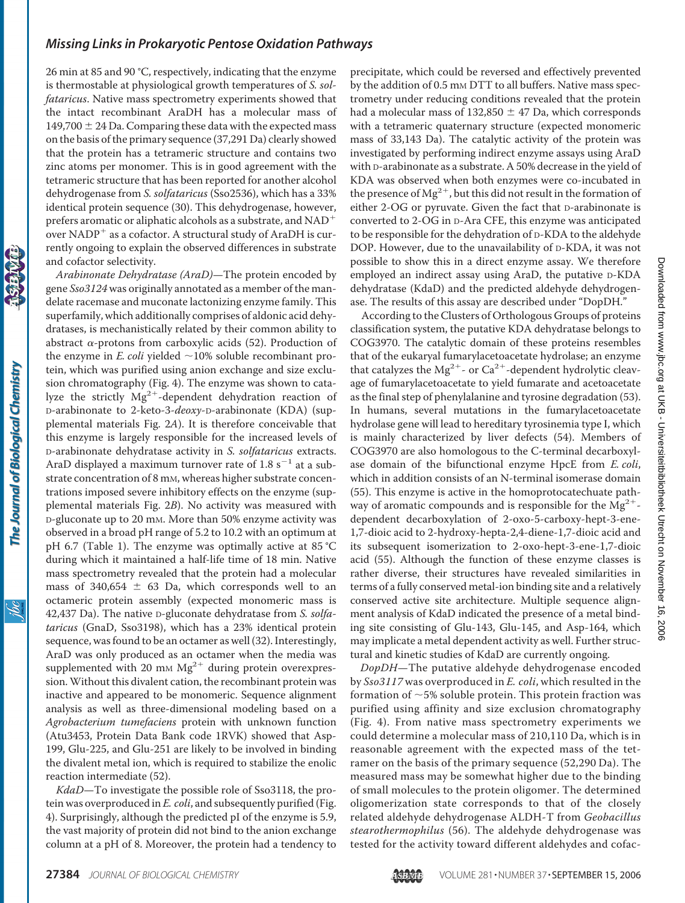26 min at 85 and 90 °C, respectively, indicating that the enzyme is thermostable at physiological growth temperatures of *S. solfataricus*. Native mass spectrometry experiments showed that the intact recombinant AraDH has a molecular mass of 149,700  $\pm$  24 Da. Comparing these data with the expected mass on the basis of the primary sequence (37,291 Da) clearly showed that the protein has a tetrameric structure and contains two zinc atoms per monomer. This is in good agreement with the tetrameric structure that has been reported for another alcohol dehydrogenase from *S. solfataricus* (Sso2536), which has a 33% identical protein sequence (30). This dehydrogenase, however, prefers aromatic or aliphatic alcohols as a substrate, and  $NAD^+$ over NADP<sup>+</sup> as a cofactor. A structural study of AraDH is currently ongoing to explain the observed differences in substrate and cofactor selectivity.

*Arabinonate Dehydratase (AraD)*—The protein encoded by gene *Sso3124* was originally annotated as a member of the mandelate racemase and muconate lactonizing enzyme family. This superfamily, which additionally comprises of aldonic acid dehydratases, is mechanistically related by their common ability to abstract  $\alpha$ -protons from carboxylic acids (52). Production of the enzyme in *E. coli* yielded  $\sim$ 10% soluble recombinant protein, which was purified using anion exchange and size exclusion chromatography (Fig. 4). The enzyme was shown to catalyze the strictly  $Mg^{2+}$ -dependent dehydration reaction of D-arabinonate to 2-keto-3-*deoxy*-D-arabinonate (KDA) (supplemental materials Fig. 2*A*). It is therefore conceivable that this enzyme is largely responsible for the increased levels of D-arabinonate dehydratase activity in *S. solfataricus* extracts. AraD displayed a maximum turnover rate of 1.8  $s^{-1}$  at a substrate concentration of 8 mm, whereas higher substrate concentrations imposed severe inhibitory effects on the enzyme (supplemental materials Fig. 2*B*). No activity was measured with D-gluconate up to 20 mM. More than 50% enzyme activity was observed in a broad pH range of 5.2 to 10.2 with an optimum at pH 6.7 (Table 1). The enzyme was optimally active at 85 °C during which it maintained a half-life time of 18 min. Native mass spectrometry revealed that the protein had a molecular mass of 340,654  $\pm$  63 Da, which corresponds well to an octameric protein assembly (expected monomeric mass is 42,437 Da). The native D-gluconate dehydratase from *S. solfataricus* (GnaD, Sso3198), which has a 23% identical protein sequence, was found to be an octamer as well (32). Interestingly, AraD was only produced as an octamer when the media was supplemented with 20 mm  $Mg^{2+}$  during protein overexpression. Without this divalent cation, the recombinant protein was inactive and appeared to be monomeric. Sequence alignment analysis as well as three-dimensional modeling based on a *Agrobacterium tumefaciens* protein with unknown function (Atu3453, Protein Data Bank code 1RVK) showed that Asp-199, Glu-225, and Glu-251 are likely to be involved in binding the divalent metal ion, which is required to stabilize the enolic reaction intermediate (52).

*KdaD*—To investigate the possible role of Sso3118, the protein was overproduced in *E. coli*, and subsequently purified (Fig. 4). Surprisingly, although the predicted pI of the enzyme is 5.9, the vast majority of protein did not bind to the anion exchange column at a pH of 8. Moreover, the protein had a tendency to precipitate, which could be reversed and effectively prevented by the addition of 0.5 mm DTT to all buffers. Native mass spectrometry under reducing conditions revealed that the protein had a molecular mass of 132,850  $\pm$  47 Da, which corresponds with a tetrameric quaternary structure (expected monomeric mass of 33,143 Da). The catalytic activity of the protein was investigated by performing indirect enzyme assays using AraD with D-arabinonate as a substrate. A 50% decrease in the yield of KDA was observed when both enzymes were co-incubated in the presence of  $Mg^{2+}$ , but this did not result in the formation of either 2-OG or pyruvate. Given the fact that D-arabinonate is converted to 2-OG in D-Ara CFE, this enzyme was anticipated to be responsible for the dehydration of D-KDA to the aldehyde DOP. However, due to the unavailability of D-KDA, it was not possible to show this in a direct enzyme assay. We therefore employed an indirect assay using AraD, the putative D-KDA dehydratase (KdaD) and the predicted aldehyde dehydrogenase. The results of this assay are described under "DopDH."

According to the Clusters of Orthologous Groups of proteins classification system, the putative KDA dehydratase belongs to COG3970. The catalytic domain of these proteins resembles that of the eukaryal fumarylacetoacetate hydrolase; an enzyme that catalyzes the Mg<sup>2+</sup>- or Ca<sup>2+</sup>-dependent hydrolytic cleavage of fumarylacetoacetate to yield fumarate and acetoacetate as the final step of phenylalanine and tyrosine degradation (53). In humans, several mutations in the fumarylacetoacetate hydrolase gene will lead to hereditary tyrosinemia type I, which is mainly characterized by liver defects (54). Members of COG3970 are also homologous to the C-terminal decarboxylase domain of the bifunctional enzyme HpcE from *E. coli*, which in addition consists of an N-terminal isomerase domain (55). This enzyme is active in the homoprotocatechuate pathway of aromatic compounds and is responsible for the  $Mg^{2+}$ dependent decarboxylation of 2-oxo-5-carboxy-hept-3-ene-1,7-dioic acid to 2-hydroxy-hepta-2,4-diene-1,7-dioic acid and its subsequent isomerization to 2-oxo-hept-3-ene-1,7-dioic acid (55). Although the function of these enzyme classes is rather diverse, their structures have revealed similarities in terms of a fully conserved metal-ion binding site and a relatively conserved active site architecture. Multiple sequence alignment analysis of KdaD indicated the presence of a metal binding site consisting of Glu-143, Glu-145, and Asp-164, which may implicate a metal dependent activity as well. Further structural and kinetic studies of KdaD are currently ongoing.

*DopDH*—The putative aldehyde dehydrogenase encoded by *Sso3117* was overproduced in *E. coli*, which resulted in the formation of  $\sim$  5% soluble protein. This protein fraction was purified using affinity and size exclusion chromatography (Fig. 4). From native mass spectrometry experiments we could determine a molecular mass of 210,110 Da, which is in reasonable agreement with the expected mass of the tetramer on the basis of the primary sequence (52,290 Da). The measured mass may be somewhat higher due to the binding of small molecules to the protein oligomer. The determined oligomerization state corresponds to that of the closely related aldehyde dehydrogenase ALDH-T from *Geobacillus stearothermophilus* (56). The aldehyde dehydrogenase was tested for the activity toward different aldehydes and cofac-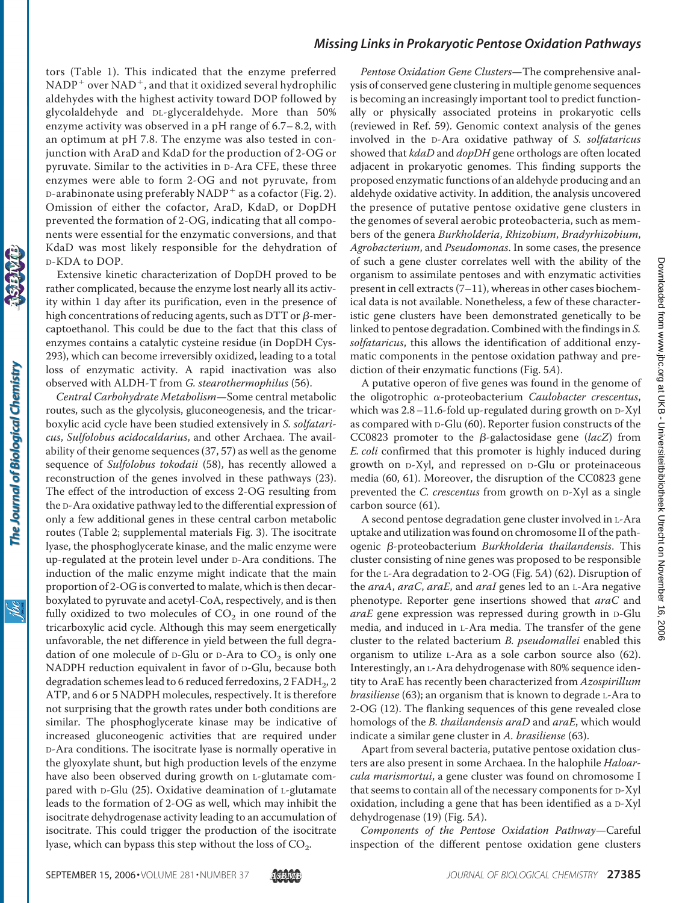tors (Table 1). This indicated that the enzyme preferred  $NADP<sup>+</sup>$  over  $NAD<sup>+</sup>$ , and that it oxidized several hydrophilic aldehydes with the highest activity toward DOP followed by glycolaldehyde and DL-glyceraldehyde. More than 50% enzyme activity was observed in a pH range of 6.7– 8.2, with an optimum at pH 7.8. The enzyme was also tested in conjunction with AraD and KdaD for the production of 2-OG or pyruvate. Similar to the activities in D-Ara CFE, these three enzymes were able to form 2-OG and not pyruvate, from D-arabinonate using preferably  $NADP^+$  as a cofactor (Fig. 2). Omission of either the cofactor, AraD, KdaD, or DopDH prevented the formation of 2-OG, indicating that all components were essential for the enzymatic conversions, and that KdaD was most likely responsible for the dehydration of D-KDA to DOP.

Extensive kinetic characterization of DopDH proved to be rather complicated, because the enzyme lost nearly all its activity within 1 day after its purification, even in the presence of high concentrations of reducing agents, such as DTT or  $\beta$ -mercaptoethanol. This could be due to the fact that this class of enzymes contains a catalytic cysteine residue (in DopDH Cys-293), which can become irreversibly oxidized, leading to a total loss of enzymatic activity. A rapid inactivation was also observed with ALDH-T from *G. stearothermophilus* (56).

*Central Carbohydrate Metabolism*—Some central metabolic routes, such as the glycolysis, gluconeogenesis, and the tricarboxylic acid cycle have been studied extensively in *S. solfataricus*, *Sulfolobus acidocaldarius*, and other Archaea. The availability of their genome sequences (37, 57) as well as the genome sequence of *Sulfolobus tokodaii* (58), has recently allowed a reconstruction of the genes involved in these pathways (23). The effect of the introduction of excess 2-OG resulting from the D-Ara oxidative pathway led to the differential expression of only a few additional genes in these central carbon metabolic routes (Table 2; supplemental materials Fig. 3). The isocitrate lyase, the phosphoglycerate kinase, and the malic enzyme were up-regulated at the protein level under D-Ara conditions. The induction of the malic enzyme might indicate that the main proportion of 2-OG is converted to malate, which is then decarboxylated to pyruvate and acetyl-CoA, respectively, and is then fully oxidized to two molecules of  $CO<sub>2</sub>$  in one round of the tricarboxylic acid cycle. Although this may seem energetically unfavorable, the net difference in yield between the full degradation of one molecule of  $D$ -Glu or  $D$ -Ara to  $CO<sub>2</sub>$  is only one NADPH reduction equivalent in favor of D-Glu, because both degradation schemes lead to 6 reduced ferredoxins, 2  $FADH<sub>2</sub>$ , 2 ATP, and 6 or 5 NADPH molecules, respectively. It is therefore not surprising that the growth rates under both conditions are similar. The phosphoglycerate kinase may be indicative of increased gluconeogenic activities that are required under D-Ara conditions. The isocitrate lyase is normally operative in the glyoxylate shunt, but high production levels of the enzyme have also been observed during growth on L-glutamate compared with D-Glu (25). Oxidative deamination of L-glutamate leads to the formation of 2-OG as well, which may inhibit the isocitrate dehydrogenase activity leading to an accumulation of isocitrate. This could trigger the production of the isocitrate lyase, which can bypass this step without the loss of  $CO<sub>2</sub>$ .

*Pentose Oxidation Gene Clusters*—The comprehensive analysis of conserved gene clustering in multiple genome sequences is becoming an increasingly important tool to predict functionally or physically associated proteins in prokaryotic cells (reviewed in Ref. 59). Genomic context analysis of the genes involved in the D-Ara oxidative pathway of *S. solfataricus* showed that *kdaD* and *dopDH* gene orthologs are often located adjacent in prokaryotic genomes. This finding supports the proposed enzymatic functions of an aldehyde producing and an aldehyde oxidative activity. In addition, the analysis uncovered the presence of putative pentose oxidative gene clusters in the genomes of several aerobic proteobacteria, such as members of the genera *Burkholderia*, *Rhizobium*, *Bradyrhizobium*, *Agrobacterium*, and *Pseudomonas*. In some cases, the presence of such a gene cluster correlates well with the ability of the organism to assimilate pentoses and with enzymatic activities present in cell extracts (7–11), whereas in other cases biochemical data is not available. Nonetheless, a few of these characteristic gene clusters have been demonstrated genetically to be linked to pentose degradation. Combined with the findings in *S. solfataricus*, this allows the identification of additional enzymatic components in the pentose oxidation pathway and prediction of their enzymatic functions (Fig. 5*A*).

A putative operon of five genes was found in the genome of the oligotrophic α-proteobacterium *Caulobacter crescentus*, which was 2.8–11.6-fold up-regulated during growth on D-Xyl as compared with D-Glu (60). Reporter fusion constructs of the CC0823 promoter to the  $\beta$ -galactosidase gene (*lacZ*) from *E. coli* confirmed that this promoter is highly induced during growth on D-Xyl, and repressed on D-Glu or proteinaceous media (60, 61). Moreover, the disruption of the CC0823 gene prevented the *C. crescentus* from growth on D-Xyl as a single carbon source (61).

A second pentose degradation gene cluster involved in L-Ara uptake and utilization was found on chromosome II of the pathogenic β-proteobacterium *Burkholderia thailandensis*. This cluster consisting of nine genes was proposed to be responsible for the L-Ara degradation to 2-OG (Fig. 5*A*) (62). Disruption of the *araA*, *araC*, *araE*, and *araI* genes led to an L-Ara negative phenotype. Reporter gene insertions showed that *araC* and *araE* gene expression was repressed during growth in D-Glu media, and induced in L-Ara media. The transfer of the gene cluster to the related bacterium *B. pseudomallei* enabled this organism to utilize L-Ara as a sole carbon source also (62). Interestingly, an L-Ara dehydrogenase with 80% sequence identity to AraE has recently been characterized from *Azospirillum brasiliense* (63); an organism that is known to degrade L-Ara to 2-OG (12). The flanking sequences of this gene revealed close homologs of the *B. thailandensis araD* and *araE*, which would indicate a similar gene cluster in *A. brasiliense* (63).

Apart from several bacteria, putative pentose oxidation clusters are also present in some Archaea. In the halophile *Haloarcula marismortui*, a gene cluster was found on chromosome I that seems to contain all of the necessary components for D-Xyl oxidation, including a gene that has been identified as a D-Xyl dehydrogenase (19) (Fig. 5*A*).

*Components of the Pentose Oxidation Pathway*—Careful inspection of the different pentose oxidation gene clusters

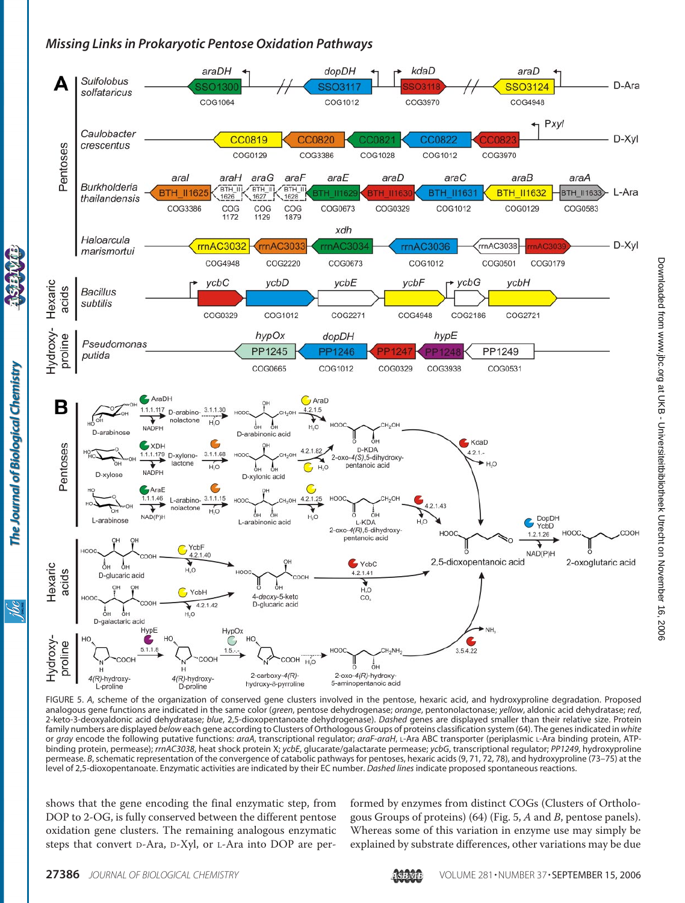

FIGURE 5. *A*, scheme of the organization of conserved gene clusters involved in the pentose, hexaric acid, and hydroxyproline degradation. Proposed analogous gene functions are indicated in the same color (*green*, pentose dehydrogenase; *orange*, pentonolactonase; *yellow*, aldonic acid dehydratase; *red*, 2-keto-3-deoxyaldonic acid dehydratase; *blue*, 2,5-dioxopentanoate dehydrogenase). *Dashed* genes are displayed smaller than their relative size. Protein family numbers are displayed *below* each gene according to Clusters of Orthologous Groups of proteins classification system (64). The genes indicated in *white* or *gray* encode the following putative functions: *araA*, transcriptional regulator; *araF-araH*, L-Ara ABC transporter (periplasmic L-Ara binding protein, ATPbinding protein, permease); *rrnAC3038*, heat shock protein X; *ycbE*, glucarate/galactarate permease; *ycbG*, transcriptional regulator; *PP1249*, hydroxyproline permease. *B*, schematic representation of the convergence of catabolic pathways for pentoses, hexaric acids (9, 71, 72, 78), and hydroxyproline (73–75) at the level of 2,5-dioxopentanoate. Enzymatic activities are indicated by their EC number. *Dashed lines* indicate proposed spontaneous reactions.

shows that the gene encoding the final enzymatic step, from DOP to 2-OG, is fully conserved between the different pentose oxidation gene clusters. The remaining analogous enzymatic steps that convert D-Ara, D-Xyl, or L-Ara into DOP are performed by enzymes from distinct COGs (Clusters of Orthologous Groups of proteins) (64) (Fig. 5, *A* and *B*, pentose panels). Whereas some of this variation in enzyme use may simply be explained by substrate differences, other variations may be due

The Journal of Biological Chemistry

Ìбс

Downloadedfrom www.jpc.org at UKB - Universiteitbibliotheek Utrecht on November 16, 2006

Downloaded from www.jbc.org at UKB - Universiteitbibliotheek Utrecht on November 16, 2006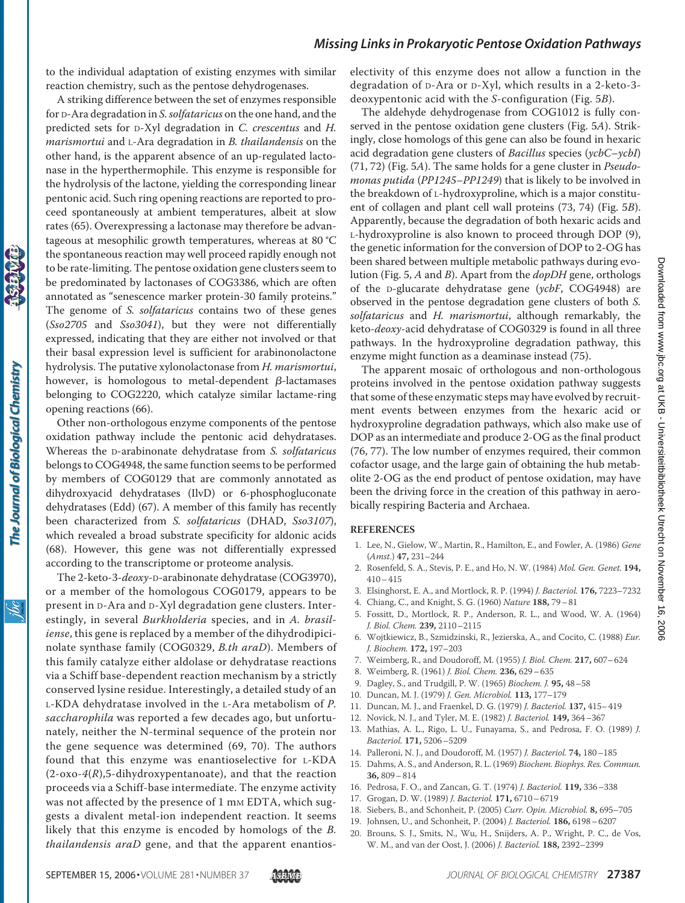to the individual adaptation of existing enzymes with similar reaction chemistry, such as the pentose dehydrogenases.

A striking difference between the set of enzymes responsible for D-Ara degradation in *S. solfataricus* on the one hand, and the predicted sets for D-Xyl degradation in *C. crescentus* and *H. marismortui* and L-Ara degradation in *B. thailandensis* on the other hand, is the apparent absence of an up-regulated lactonase in the hyperthermophile. This enzyme is responsible for the hydrolysis of the lactone, yielding the corresponding linear pentonic acid. Such ring opening reactions are reported to proceed spontaneously at ambient temperatures, albeit at slow rates (65). Overexpressing a lactonase may therefore be advantageous at mesophilic growth temperatures, whereas at 80 °C the spontaneous reaction may well proceed rapidly enough not to be rate-limiting. The pentose oxidation gene clusters seem to be predominated by lactonases of COG3386, which are often annotated as "senescence marker protein-30 family proteins." The genome of *S. solfataricus* contains two of these genes (*Sso2705* and *Sso3041*), but they were not differentially expressed, indicating that they are either not involved or that their basal expression level is sufficient for arabinonolactone hydrolysis. The putative xylonolactonase from *H. marismortui*, however, is homologous to metal-dependent  $\beta$ -lactamases belonging to COG2220, which catalyze similar lactame-ring opening reactions (66).

Other non-orthologous enzyme components of the pentose oxidation pathway include the pentonic acid dehydratases. Whereas the D-arabinonate dehydratase from *S. solfataricus* belongs to COG4948, the same function seems to be performed by members of COG0129 that are commonly annotated as dihydroxyacid dehydratases (IlvD) or 6-phosphogluconate dehydratases (Edd) (67). A member of this family has recently been characterized from *S. solfataricus* (DHAD, *Sso3107*), which revealed a broad substrate specificity for aldonic acids (68). However, this gene was not differentially expressed according to the transcriptome or proteome analysis.

The 2-keto-3-*deoxy*-D-arabinonate dehydratase (COG3970), or a member of the homologous COG0179, appears to be present in D-Ara and D-Xyl degradation gene clusters. Interestingly, in several *Burkholderia* species, and in *A. brasiliense*, this gene is replaced by a member of the dihydrodipicinolate synthase family (COG0329, *B.th araD*). Members of this family catalyze either aldolase or dehydratase reactions via a Schiff base-dependent reaction mechanism by a strictly conserved lysine residue. Interestingly, a detailed study of an L-KDA dehydratase involved in the L-Ara metabolism of *P. saccharophila* was reported a few decades ago, but unfortunately, neither the N-terminal sequence of the protein nor the gene sequence was determined (69, 70). The authors found that this enzyme was enantioselective for L-KDA (2-oxo-*4*(*R*),5-dihydroxypentanoate), and that the reaction proceeds via a Schiff-base intermediate. The enzyme activity was not affected by the presence of 1 mm EDTA, which suggests a divalent metal-ion independent reaction. It seems likely that this enzyme is encoded by homologs of the *B. thailandensis araD* gene, and that the apparent enantioselectivity of this enzyme does not allow a function in the degradation of D-Ara or D-Xyl, which results in a 2-keto-3 deoxypentonic acid with the *S*-configuration (Fig. 5*B*).

The aldehyde dehydrogenase from COG1012 is fully conserved in the pentose oxidation gene clusters (Fig. 5*A*). Strikingly, close homologs of this gene can also be found in hexaric acid degradation gene clusters of *Bacillus* species (*ycbC*–*ycbI*) (71, 72) (Fig. 5*A*). The same holds for a gene cluster in *Pseudomonas putida* (*PP1245–PP1249*) that is likely to be involved in the breakdown of L-hydroxyproline, which is a major constituent of collagen and plant cell wall proteins (73, 74) (Fig. 5*B*). Apparently, because the degradation of both hexaric acids and L-hydroxyproline is also known to proceed through DOP (9), the genetic information for the conversion of DOP to 2-OG has been shared between multiple metabolic pathways during evolution (Fig. 5, *A* and *B*). Apart from the *dopDH* gene, orthologs of the D-glucarate dehydratase gene (*ycbF*, COG4948) are observed in the pentose degradation gene clusters of both *S. solfataricus* and *H. marismortui*, although remarkably, the keto-*deoxy*-acid dehydratase of COG0329 is found in all three pathways. In the hydroxyproline degradation pathway, this enzyme might function as a deaminase instead (75).

The apparent mosaic of orthologous and non-orthologous proteins involved in the pentose oxidation pathway suggests that some of these enzymatic steps may have evolved by recruitment events between enzymes from the hexaric acid or hydroxyproline degradation pathways, which also make use of DOP as an intermediate and produce 2-OG as the final product (76, 77). The low number of enzymes required, their common cofactor usage, and the large gain of obtaining the hub metabolite 2-OG as the end product of pentose oxidation, may have been the driving force in the creation of this pathway in aerobically respiring Bacteria and Archaea.

#### **REFERENCES**

- 1. Lee, N., Gielow, W., Martin, R., Hamilton, E., and Fowler, A. (1986) *Gene* (*Amst*.) **47,** 231–244
- 2. Rosenfeld, S. A., Stevis, P. E., and Ho, N. W. (1984) *Mol. Gen. Genet.* **194,** 410–415
- 3. Elsinghorst, E. A., and Mortlock, R. P. (1994) *J. Bacteriol.* **176,** 7223–7232
- 4. Chiang, C., and Knight, S. G. (1960) *Nature* **188,** 79–81
- 5. Fossitt, D., Mortlock, R. P., Anderson, R. L., and Wood, W. A. (1964) *J. Biol. Chem.* **239,** 2110–2115
- 6. Wojtkiewicz, B., Szmidzinski, R., Jezierska, A., and Cocito, C. (1988) *Eur. J. Biochem.* **172,** 197–203
- 7. Weimberg, R., and Doudoroff, M. (1955) *J. Biol. Chem.* **217,** 607–624
- 8. Weimberg, R. (1961) *J. Biol. Chem.* **236,** 629–635
- 9. Dagley, S., and Trudgill, P. W. (1965) *Biochem. J.* **95,** 48–58
- 10. Duncan, M. J. (1979) *J. Gen. Microbiol.* **113,** 177–179
- 11. Duncan, M. J., and Fraenkel, D. G. (1979) *J. Bacteriol.* **137,** 415–419
- 12. Novick, N. J., and Tyler, M. E. (1982) *J. Bacteriol.* **149,** 364–367
- 13. Mathias, A. L., Rigo, L. U., Funayama, S., and Pedrosa, F. O. (1989) *J. Bacteriol.* **171,** 5206–5209
- 14. Palleroni, N. J., and Doudoroff, M. (1957) *J. Bacteriol.* **74,** 180–185
- 15. Dahms, A. S., and Anderson, R. L. (1969) *Biochem. Biophys. Res. Commun.* **36,** 809–814
- 16. Pedrosa, F. O., and Zancan, G. T. (1974) *J. Bacteriol.* **119,** 336–338
- 17. Grogan, D. W. (1989) *J. Bacteriol.* **171,** 6710–6719
- 18. Siebers, B., and Schonheit, P. (2005) *Curr. Opin. Microbiol.* **8,** 695–705
- 19. Johnsen, U., and Schonheit, P. (2004) *J. Bacteriol.* **186,** 6198–6207
- 20. Brouns, S. J., Smits, N., Wu, H., Snijders, A. P., Wright, P. C., de Vos, W. M., and van der Oost, J. (2006) *J. Bacteriol.* **188,** 2392–2399